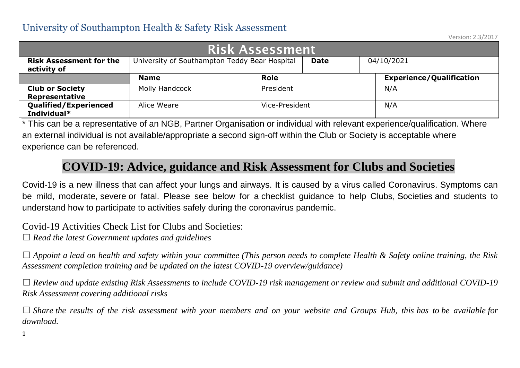Version: 2.3/2017

| Risk Assessment                               |                                               |                |             |  |                                 |  |  |  |  |  |  |  |
|-----------------------------------------------|-----------------------------------------------|----------------|-------------|--|---------------------------------|--|--|--|--|--|--|--|
| <b>Risk Assessment for the</b><br>activity of | University of Southampton Teddy Bear Hospital |                | <b>Date</b> |  | 04/10/2021                      |  |  |  |  |  |  |  |
|                                               | <b>Name</b>                                   | <b>Role</b>    |             |  | <b>Experience/Qualification</b> |  |  |  |  |  |  |  |
| <b>Club or Society</b><br>Representative      | Molly Handcock                                | President      |             |  | N/A                             |  |  |  |  |  |  |  |
| <b>Qualified/Experienced</b><br>Individual*   | Alice Weare                                   | Vice-President |             |  | N/A                             |  |  |  |  |  |  |  |

\* This can be a representative of an NGB, Partner Organisation or individual with relevant experience/qualification. Where an external individual is not available/appropriate a second sign-off within the Club or Society is acceptable where experience can be referenced.

#### **COVID-19: Advice, guidance and Risk Assessment for Clubs and Societies**

Covid-19 is a new illness that can affect your lungs and airways. It is caused by a virus called Coronavirus. Symptoms can be mild, moderate, severe or fatal. Please see below for a checklist guidance to help Clubs, Societies and students to understand how to participate to activities safely during the coronavirus pandemic.

Covid-19 Activities Check List for Clubs and Societies:

☐ *Read the latest Government updates and guidelines*

☐ *Appoint a lead on health and safety within your committee (This person needs to complete Health & Safety online training, the Risk Assessment completion training and be updated on the latest COVID-19 overview/guidance)*

☐ *Review and update existing Risk Assessments to include COVID-19 risk management or review and submit and additional COVID-19 Risk Assessment covering additional risks*

□ *Share* the results of the risk assessment with your members and on your website and Groups Hub, this has to be available for *download.*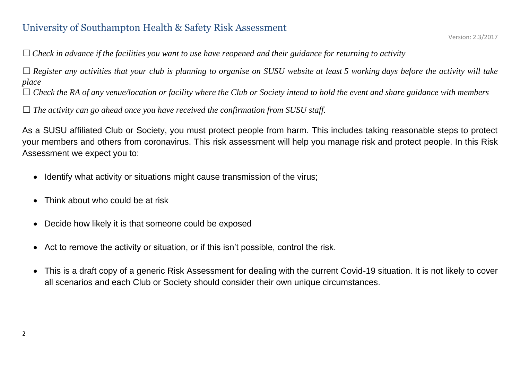☐*Check in advance if the facilities you want to use have reopened and their guidance for returning to activity*

☐ *Register any activities that your club is planning to organise on SUSU website at least 5 working days before the activity will take place*

☐ *Check the RA of any venue/location or facility where the Club or Society intend to hold the event and share guidance with members*

 $\Box$  *The activity can go ahead once you have received the confirmation from SUSU staff.* 

As a SUSU affiliated Club or Society, you must protect people from harm. This includes taking reasonable steps to protect your members and others from coronavirus. This risk assessment will help you manage risk and protect people. In this Risk Assessment we expect you to:

- Identify what activity or situations might cause transmission of the virus;
- Think about who could be at risk
- Decide how likely it is that someone could be exposed
- Act to remove the activity or situation, or if this isn't possible, control the risk.
- This is a draft copy of a generic Risk Assessment for dealing with the current Covid-19 situation. It is not likely to cover all scenarios and each Club or Society should consider their own unique circumstances.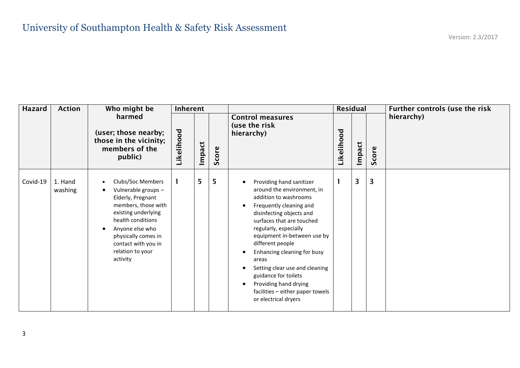| Hazard   | <b>Action</b>      | Who might be                                                                                                                                                                                                                      | <b>Inherent</b> |        |       |                                                                                                                                                                                                                                                                                                                                                                                                                                                                                                         |            | <b>Residual</b> |       | Further controls (use the risk |
|----------|--------------------|-----------------------------------------------------------------------------------------------------------------------------------------------------------------------------------------------------------------------------------|-----------------|--------|-------|---------------------------------------------------------------------------------------------------------------------------------------------------------------------------------------------------------------------------------------------------------------------------------------------------------------------------------------------------------------------------------------------------------------------------------------------------------------------------------------------------------|------------|-----------------|-------|--------------------------------|
|          |                    | harmed<br>(user; those nearby;<br>those in the vicinity;<br>members of the<br>public)                                                                                                                                             | Likelihood      | Impact | Score | <b>Control measures</b><br>(use the risk<br>hierarchy)                                                                                                                                                                                                                                                                                                                                                                                                                                                  | Likelihood | Impact          | Score | hierarchy)                     |
| Covid-19 | 1. Hand<br>washing | Clubs/Soc Members<br>Vulnerable groups -<br>Elderly, Pregnant<br>members, those with<br>existing underlying<br>health conditions<br>Anyone else who<br>physically comes in<br>contact with you in<br>relation to your<br>activity | 1.              | 5      | 5     | Providing hand sanitizer<br>$\bullet$<br>around the environment, in<br>addition to washrooms<br>Frequently cleaning and<br>$\bullet$<br>disinfecting objects and<br>surfaces that are touched<br>regularly, especially<br>equipment in-between use by<br>different people<br>Enhancing cleaning for busy<br>$\bullet$<br>areas<br>Setting clear use and cleaning<br>$\bullet$<br>guidance for toilets<br>Providing hand drying<br>$\bullet$<br>facilities - either paper towels<br>or electrical dryers |            | 3               | 3     |                                |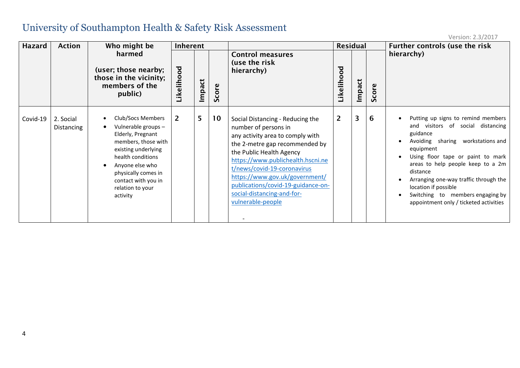| <b>Hazard</b> | <b>Action</b>                  | Who might be                                                                                                                                                                                                                                               | <b>Inherent</b>                     |                |           |                                                                                                                                                                                                                                                                                                                                                           | <b>Residual</b> |                         |          | Further controls (use the risk                                                                                                                                                                                                                                                                                                                                                          |
|---------------|--------------------------------|------------------------------------------------------------------------------------------------------------------------------------------------------------------------------------------------------------------------------------------------------------|-------------------------------------|----------------|-----------|-----------------------------------------------------------------------------------------------------------------------------------------------------------------------------------------------------------------------------------------------------------------------------------------------------------------------------------------------------------|-----------------|-------------------------|----------|-----------------------------------------------------------------------------------------------------------------------------------------------------------------------------------------------------------------------------------------------------------------------------------------------------------------------------------------------------------------------------------------|
|               |                                | harmed<br>(user; those nearby;<br>those in the vicinity;<br>members of the<br>public)                                                                                                                                                                      | $\overline{\mathsf{c}}$<br>Likeliho | Impact         | ဇ္<br>Sco | <b>Control measures</b><br>(use the risk<br>hierarchy)                                                                                                                                                                                                                                                                                                    | ठ<br>Likeliho   | Impact                  | ဇ္<br>Šŏ | hierarchy)                                                                                                                                                                                                                                                                                                                                                                              |
| Covid-19      | 2. Social<br><b>Distancing</b> | Club/Socs Members<br>$\bullet$<br>Vulnerable groups-<br>$\bullet$<br>Elderly, Pregnant<br>members, those with<br>existing underlying<br>health conditions<br>Anyone else who<br>physically comes in<br>contact with you in<br>relation to your<br>activity | $\overline{2}$                      | 5 <sup>5</sup> | 10        | Social Distancing - Reducing the<br>number of persons in<br>any activity area to comply with<br>the 2-metre gap recommended by<br>the Public Health Agency<br>https://www.publichealth.hscni.ne<br>t/news/covid-19-coronavirus<br>https://www.gov.uk/government/<br>publications/covid-19-guidance-on-<br>social-distancing-and-for-<br>vulnerable-people | $\overline{2}$  | $\overline{\mathbf{3}}$ | 6        | Putting up signs to remind members<br>and visitors of social distancing<br>guidance<br>Avoiding sharing workstations and<br>$\bullet$<br>equipment<br>Using floor tape or paint to mark<br>areas to help people keep to a 2m<br>distance<br>Arranging one-way traffic through the<br>location if possible<br>Switching to members engaging by<br>appointment only / ticketed activities |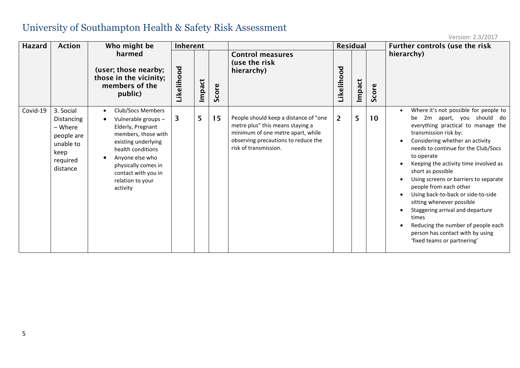| Hazard   | <b>Action</b>                                                                                 | Who might be                                                                                                                                                                                                                      | Inherent                |        |       |                                                                                                                                                                                |                | <b>Residual</b> |           | Further controls (use the risk                                                                                                                                                                                                                                                                                                                                                                                                                                                                                                                                                                                                 |
|----------|-----------------------------------------------------------------------------------------------|-----------------------------------------------------------------------------------------------------------------------------------------------------------------------------------------------------------------------------------|-------------------------|--------|-------|--------------------------------------------------------------------------------------------------------------------------------------------------------------------------------|----------------|-----------------|-----------|--------------------------------------------------------------------------------------------------------------------------------------------------------------------------------------------------------------------------------------------------------------------------------------------------------------------------------------------------------------------------------------------------------------------------------------------------------------------------------------------------------------------------------------------------------------------------------------------------------------------------------|
|          |                                                                                               | harmed<br>(user; those nearby;<br>those in the vicinity;<br>members of the<br>public)                                                                                                                                             | Likelihood              | Impact | Score | <b>Control measures</b><br>(use the risk<br>hierarchy)                                                                                                                         | ъo<br>Likeliho | Impact          | core<br>Ū | hierarchy)                                                                                                                                                                                                                                                                                                                                                                                                                                                                                                                                                                                                                     |
| Covid-19 | 3. Social<br>Distancing<br>- Where<br>people are<br>unable to<br>keep<br>required<br>distance | Club/Socs Members<br>Vulnerable groups -<br>Elderly, Pregnant<br>members, those with<br>existing underlying<br>health conditions<br>Anyone else who<br>physically comes in<br>contact with you in<br>relation to your<br>activity | $\overline{\mathbf{3}}$ | 5      | 15    | People should keep a distance of "one<br>metre plus" this means staying a<br>minimum of one metre apart, while<br>observing precautions to reduce the<br>risk of transmission. | $\overline{2}$ | 5               | 10        | Where it's not possible for people to<br>2m apart, you should do<br>be<br>everything practical to manage the<br>transmission risk by:<br>Considering whether an activity<br>$\bullet$<br>needs to continue for the Club/Socs<br>to operate<br>Keeping the activity time involved as<br>short as possible<br>Using screens or barriers to separate<br>$\bullet$<br>people from each other<br>Using back-to-back or side-to-side<br>sitting whenever possible<br>Staggering arrival and departure<br>times<br>Reducing the number of people each<br>$\bullet$<br>person has contact with by using<br>'fixed teams or partnering' |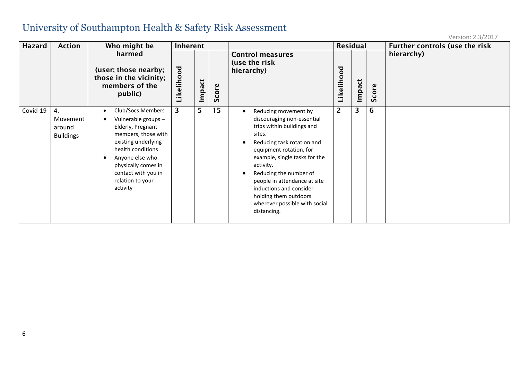| <b>Hazard</b> | <b>Action</b>                                | Who might be                                                                                                                                                                                                                           | Inherent                            |        |           |                                                                                                                                                                                                                                                                                                                                                                 | <b>Residual</b> |        |           | Further controls (use the risk |
|---------------|----------------------------------------------|----------------------------------------------------------------------------------------------------------------------------------------------------------------------------------------------------------------------------------------|-------------------------------------|--------|-----------|-----------------------------------------------------------------------------------------------------------------------------------------------------------------------------------------------------------------------------------------------------------------------------------------------------------------------------------------------------------------|-----------------|--------|-----------|--------------------------------|
|               |                                              | harmed<br>(user; those nearby;<br>those in the vicinity;<br>members of the<br>public)                                                                                                                                                  | $\overline{\mathsf{c}}$<br>Likeliho | Impact | ဇ္<br>Sco | <b>Control measures</b><br>(use the risk<br>hierarchy)                                                                                                                                                                                                                                                                                                          | Likelihood      | Impact | ၟၑ<br>Sco | hierarchy)                     |
| Covid-19      | 4.<br>Movement<br>around<br><b>Buildings</b> | Club/Socs Members<br>٠<br>Vulnerable groups -<br>Elderly, Pregnant<br>members, those with<br>existing underlying<br>health conditions<br>Anyone else who<br>physically comes in<br>contact with you in<br>relation to your<br>activity | 3                                   | 5      | 15        | Reducing movement by<br>discouraging non-essential<br>trips within buildings and<br>sites.<br>Reducing task rotation and<br>equipment rotation, for<br>example, single tasks for the<br>activity.<br>Reducing the number of<br>people in attendance at site<br>inductions and consider<br>holding them outdoors<br>wherever possible with social<br>distancing. | $\overline{2}$  | 3      | 6         |                                |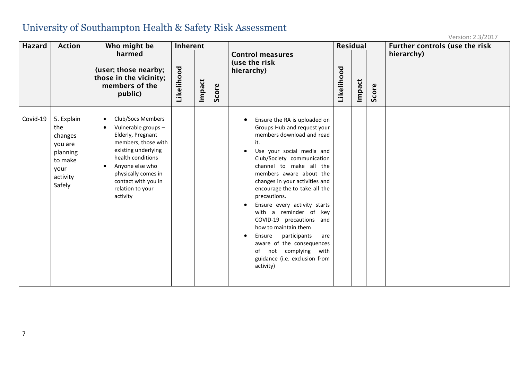| <b>Hazard</b> | <b>Action</b>                                                                                | Who might be                                                                                                                                                                                                                                   | Inherent   |        |       |                                                                                                                                                                                                                                                                                                                                                                                                                                                                                                                                                              |            | <b>Residual</b> |       | Further controls (use the risk |
|---------------|----------------------------------------------------------------------------------------------|------------------------------------------------------------------------------------------------------------------------------------------------------------------------------------------------------------------------------------------------|------------|--------|-------|--------------------------------------------------------------------------------------------------------------------------------------------------------------------------------------------------------------------------------------------------------------------------------------------------------------------------------------------------------------------------------------------------------------------------------------------------------------------------------------------------------------------------------------------------------------|------------|-----------------|-------|--------------------------------|
|               |                                                                                              | harmed<br>(user; those nearby;<br>those in the vicinity;<br>members of the<br>public)                                                                                                                                                          | Likelihood | Impact | Score | <b>Control measures</b><br>(use the risk<br>hierarchy)                                                                                                                                                                                                                                                                                                                                                                                                                                                                                                       | Likelihood | Impact          | Score | hierarchy)                     |
| Covid-19      | 5. Explain<br>the<br>changes<br>you are<br>planning<br>to make<br>your<br>activity<br>Safely | Club/Socs Members<br>Vulnerable groups -<br>$\bullet$<br>Elderly, Pregnant<br>members, those with<br>existing underlying<br>health conditions<br>Anyone else who<br>physically comes in<br>contact with you in<br>relation to your<br>activity |            |        |       | Ensure the RA is uploaded on<br>Groups Hub and request your<br>members download and read<br>it.<br>Use your social media and<br>Club/Society communication<br>channel to make all the<br>members aware about the<br>changes in your activities and<br>encourage the to take all the<br>precautions.<br>Ensure every activity starts<br>with a reminder of key<br>COVID-19 precautions and<br>how to maintain them<br>participants<br>Ensure<br>are<br>aware of the consequences<br>not complying<br>with<br>of<br>guidance (i.e. exclusion from<br>activity) |            |                 |       |                                |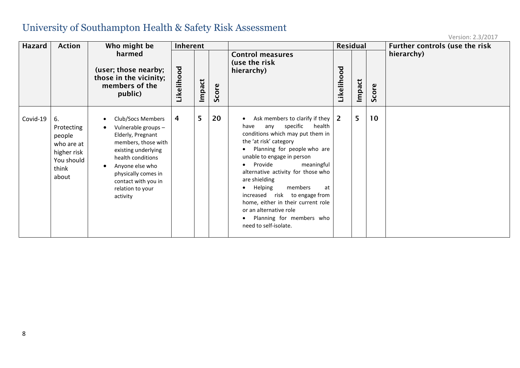| Hazard   | <b>Action</b>                                                                           | Who might be                                                                                                                                                                                                                      | Inherent           |        |       |                                                                                                                                                                                                                                                                                                                                                                                                                                                                         | <b>Residual</b> |        |       | Further controls (use the risk |
|----------|-----------------------------------------------------------------------------------------|-----------------------------------------------------------------------------------------------------------------------------------------------------------------------------------------------------------------------------------|--------------------|--------|-------|-------------------------------------------------------------------------------------------------------------------------------------------------------------------------------------------------------------------------------------------------------------------------------------------------------------------------------------------------------------------------------------------------------------------------------------------------------------------------|-----------------|--------|-------|--------------------------------|
|          |                                                                                         | harmed<br>(user; those nearby;<br>those in the vicinity;<br>members of the<br>public)                                                                                                                                             | უ<br>ბ<br>Likeliho | Impact | Score | <b>Control measures</b><br>(use the risk<br>hierarchy)                                                                                                                                                                                                                                                                                                                                                                                                                  | Likelihood      | Impact | Score | hierarchy)                     |
| Covid-19 | 6.<br>Protecting<br>people<br>who are at<br>higher risk<br>You should<br>think<br>about | Club/Socs Members<br>Vulnerable groups -<br>Elderly, Pregnant<br>members, those with<br>existing underlying<br>health conditions<br>Anyone else who<br>physically comes in<br>contact with you in<br>relation to your<br>activity | 4                  | 5      | 20    | Ask members to clarify if they<br>specific<br>health<br>any<br>have<br>conditions which may put them in<br>the 'at risk' category<br>Planning for people who are<br>unable to engage in person<br>Provide<br>meaningful<br>alternative activity for those who<br>are shielding<br>members<br><b>Helping</b><br>at<br>increased risk to engage from<br>home, either in their current role<br>or an alternative role<br>Planning for members who<br>need to self-isolate. | $\overline{2}$  | 5      | 10    |                                |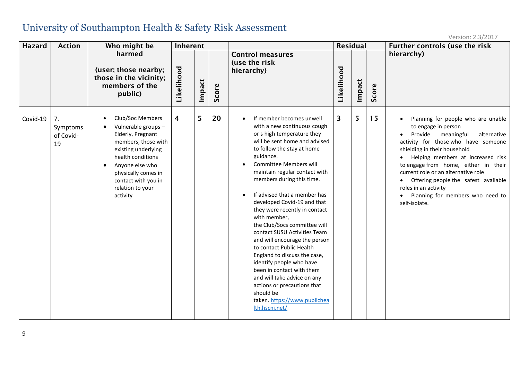| <b>Hazard</b> | <b>Action</b>                     | Who might be                                                                                                                                                                                                                                  | Inherent   |        |       |                                                                                                                                                                                                                                                                                                                                                                                                                                                                                                                                                                                                                                                                                                                                                                            | <b>Residual</b> |        |       | Further controls (use the risk                                                                                                                                                                                                                                                                                                                                                                                                              |
|---------------|-----------------------------------|-----------------------------------------------------------------------------------------------------------------------------------------------------------------------------------------------------------------------------------------------|------------|--------|-------|----------------------------------------------------------------------------------------------------------------------------------------------------------------------------------------------------------------------------------------------------------------------------------------------------------------------------------------------------------------------------------------------------------------------------------------------------------------------------------------------------------------------------------------------------------------------------------------------------------------------------------------------------------------------------------------------------------------------------------------------------------------------------|-----------------|--------|-------|---------------------------------------------------------------------------------------------------------------------------------------------------------------------------------------------------------------------------------------------------------------------------------------------------------------------------------------------------------------------------------------------------------------------------------------------|
|               |                                   | harmed<br>(user; those nearby;<br>those in the vicinity;<br>members of the<br>public)                                                                                                                                                         | Likelihood | Impact | Score | <b>Control measures</b><br>(use the risk<br>hierarchy)                                                                                                                                                                                                                                                                                                                                                                                                                                                                                                                                                                                                                                                                                                                     | Likelihood      | Impact | Score | hierarchy)                                                                                                                                                                                                                                                                                                                                                                                                                                  |
| Covid-19      | 7.<br>Symptoms<br>of Covid-<br>19 | Club/Soc Members<br>Vulnerable groups -<br>Elderly, Pregnant<br>members, those with<br>existing underlying<br>health conditions<br>Anyone else who<br>$\bullet$<br>physically comes in<br>contact with you in<br>relation to your<br>activity | 4          | 5      | 20    | If member becomes unwell<br>$\bullet$<br>with a new continuous cough<br>or s high temperature they<br>will be sent home and advised<br>to follow the stay at home<br>guidance.<br><b>Committee Members will</b><br>$\bullet$<br>maintain regular contact with<br>members during this time.<br>If advised that a member has<br>$\bullet$<br>developed Covid-19 and that<br>they were recently in contact<br>with member,<br>the Club/Socs committee will<br>contact SUSU Activities Team<br>and will encourage the person<br>to contact Public Health<br>England to discuss the case,<br>identify people who have<br>been in contact with them<br>and will take advice on any<br>actions or precautions that<br>should be<br>taken. https://www.publichea<br>Ith.hscni.net/ | 3               | 5      | 15    | Planning for people who are unable<br>$\bullet$<br>to engage in person<br>Provide<br>meaningful<br>alternative<br>activity for those who have someone<br>shielding in their household<br>Helping members at increased risk<br>to engage from home, either in their<br>current role or an alternative role<br>Offering people the safest available<br>$\bullet$<br>roles in an activity<br>Planning for members who need to<br>self-isolate. |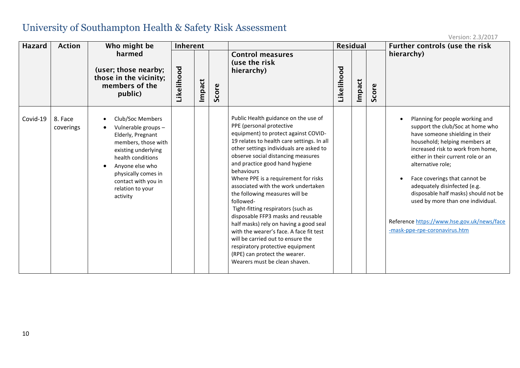| <b>Hazard</b> | <b>Action</b>        | Who might be                                                                                                                                                                                                                     | Inherent   |        |       |                                                                                                                                                                                                                                                                                                                                                                                                                                                                                                                                                                                                                                                                                                                                   | <b>Residual</b> |        |       | Further controls (use the risk                                                                                                                                                                                                                                                                                                                                                                                                                                       |
|---------------|----------------------|----------------------------------------------------------------------------------------------------------------------------------------------------------------------------------------------------------------------------------|------------|--------|-------|-----------------------------------------------------------------------------------------------------------------------------------------------------------------------------------------------------------------------------------------------------------------------------------------------------------------------------------------------------------------------------------------------------------------------------------------------------------------------------------------------------------------------------------------------------------------------------------------------------------------------------------------------------------------------------------------------------------------------------------|-----------------|--------|-------|----------------------------------------------------------------------------------------------------------------------------------------------------------------------------------------------------------------------------------------------------------------------------------------------------------------------------------------------------------------------------------------------------------------------------------------------------------------------|
|               |                      | harmed<br>(user; those nearby;<br>those in the vicinity;<br>members of the<br>public)                                                                                                                                            | Likelihood | Impact | Score | <b>Control measures</b><br>(use the risk<br>hierarchy)                                                                                                                                                                                                                                                                                                                                                                                                                                                                                                                                                                                                                                                                            | Likelihood      | Impact | Score | hierarchy)                                                                                                                                                                                                                                                                                                                                                                                                                                                           |
| Covid-19      | 8. Face<br>coverings | Club/Soc Members<br>Vulnerable groups -<br>Elderly, Pregnant<br>members, those with<br>existing underlying<br>health conditions<br>Anyone else who<br>physically comes in<br>contact with you in<br>relation to your<br>activity |            |        |       | Public Health guidance on the use of<br>PPE (personal protective<br>equipment) to protect against COVID-<br>19 relates to health care settings. In all<br>other settings individuals are asked to<br>observe social distancing measures<br>and practice good hand hygiene<br>behaviours<br>Where PPE is a requirement for risks<br>associated with the work undertaken<br>the following measures will be<br>followed-<br>Tight-fitting respirators (such as<br>disposable FFP3 masks and reusable<br>half masks) rely on having a good seal<br>with the wearer's face. A face fit test<br>will be carried out to ensure the<br>respiratory protective equipment<br>(RPE) can protect the wearer.<br>Wearers must be clean shaven. |                 |        |       | Planning for people working and<br>support the club/Soc at home who<br>have someone shielding in their<br>household; helping members at<br>increased risk to work from home,<br>either in their current role or an<br>alternative role;<br>Face coverings that cannot be<br>adequately disinfected (e.g.<br>disposable half masks) should not be<br>used by more than one individual.<br>Reference https://www.hse.gov.uk/news/face<br>-mask-ppe-rpe-coronavirus.htm |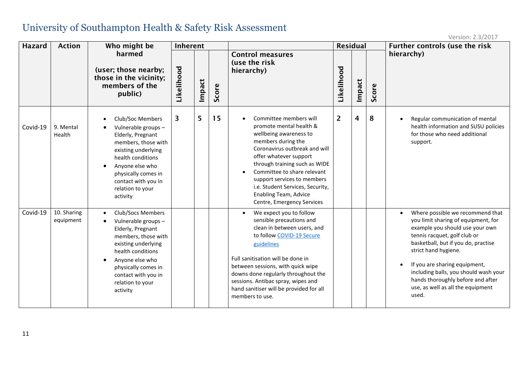| <b>Hazard</b> | <b>Action</b>            | Who might be                                                                                                                                                                                                                                          | Inherent   |        |       |                                                                                                                                                                                                                                                                                                                                                                                  | <b>Residual</b> |        |       | Further controls (use the risk                                                                                                                                                                                                                                                                                                                                                                   |
|---------------|--------------------------|-------------------------------------------------------------------------------------------------------------------------------------------------------------------------------------------------------------------------------------------------------|------------|--------|-------|----------------------------------------------------------------------------------------------------------------------------------------------------------------------------------------------------------------------------------------------------------------------------------------------------------------------------------------------------------------------------------|-----------------|--------|-------|--------------------------------------------------------------------------------------------------------------------------------------------------------------------------------------------------------------------------------------------------------------------------------------------------------------------------------------------------------------------------------------------------|
|               |                          | harmed<br>(user; those nearby;<br>those in the vicinity;<br>members of the<br>public)                                                                                                                                                                 | Likelihood | Impact | Score | <b>Control measures</b><br>(use the risk<br>hierarchy)                                                                                                                                                                                                                                                                                                                           | Likelihood      | Impact | Score | hierarchy)                                                                                                                                                                                                                                                                                                                                                                                       |
| Covid-19      | 9. Mental<br>Health      | Club/Soc Members<br>Vulnerable groups-<br>Elderly, Pregnant<br>members, those with<br>existing underlying<br>health conditions<br>Anyone else who<br>$\bullet$<br>physically comes in<br>contact with you in<br>relation to your<br>activity          | 3          | 5      | 15    | Committee members will<br>$\bullet$<br>promote mental health &<br>wellbeing awareness to<br>members during the<br>Coronavirus outbreak and will<br>offer whatever support<br>through training such as WIDE<br>Committee to share relevant<br>$\bullet$<br>support services to members<br>i.e. Student Services, Security,<br>Enabling Team, Advice<br>Centre, Emergency Services | $\overline{2}$  | 4      | 8     | Regular communication of mental<br>$\bullet$<br>health information and SUSU policies<br>for those who need additional<br>support.                                                                                                                                                                                                                                                                |
| Covid-19      | 10. Sharing<br>equipment | <b>Club/Socs Members</b><br>$\bullet$<br>Vulnerable groups -<br>Elderly, Pregnant<br>members, those with<br>existing underlying<br>health conditions<br>Anyone else who<br>physically comes in<br>contact with you in<br>relation to your<br>activity |            |        |       | We expect you to follow<br>$\bullet$<br>sensible precautions and<br>clean in between users, and<br>to follow COVID-19 Secure<br>guidelines<br>Full sanitisation will be done in<br>between sessions, with quick wipe<br>downs done regularly throughout the<br>sessions. Antibac spray, wipes and<br>hand sanitiser will be provided for all<br>members to use.                  |                 |        |       | Where possible we recommend that<br>$\bullet$<br>you limit sharing of equipment, for<br>example you should use your own<br>tennis racquet, golf club or<br>basketball, but if you do, practise<br>strict hand hygiene.<br>If you are sharing equipment,<br>$\bullet$<br>including balls, you should wash your<br>hands thoroughly before and after<br>use, as well as all the equipment<br>used. |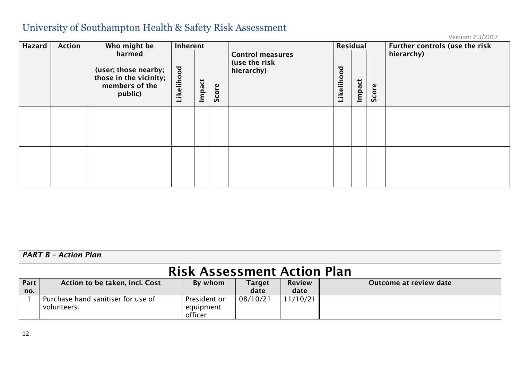Version: 2.3/2017

| <b>Hazard</b> | <b>Action</b>                                                                         | Who might be | Inherent   |        |       |                                                        | Residual           |        |       | Further controls (use the risk |
|---------------|---------------------------------------------------------------------------------------|--------------|------------|--------|-------|--------------------------------------------------------|--------------------|--------|-------|--------------------------------|
|               | harmed<br>(user; those nearby;<br>those in the vicinity;<br>members of the<br>public) |              | Likelihood | Impact | Score | <b>Control measures</b><br>(use the risk<br>hierarchy) | hood<br>≡<br>Likel | Impact | Score | hierarchy)                     |
|               |                                                                                       |              |            |        |       |                                                        |                    |        |       |                                |
|               |                                                                                       |              |            |        |       |                                                        |                    |        |       |                                |

*PART B – Action Plan*

# Risk Assessment Action Plan

| Part | Action to be taken, incl. Cost     | By whom      | <b>Target</b> | <b>Review</b> | Outcome at review date |
|------|------------------------------------|--------------|---------------|---------------|------------------------|
| no.  |                                    |              | date          | date          |                        |
|      | Purchase hand sanitiser for use of | President or | 08/10/21      | /10/21<br>11  |                        |
|      | volunteers.                        | equipment    |               |               |                        |
|      |                                    | officer      |               |               |                        |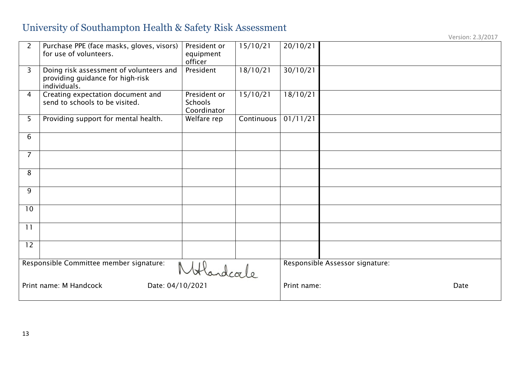| $\overline{2}$                                      | Purchase PPE (face masks, gloves, visors)<br>for use of volunteers.                         | President or<br>equipment<br>officer          | 15/10/21   | 20/10/21            |                                 |
|-----------------------------------------------------|---------------------------------------------------------------------------------------------|-----------------------------------------------|------------|---------------------|---------------------------------|
| $\overline{3}$                                      | Doing risk assessment of volunteers and<br>providing guidance for high-risk<br>individuals. | President                                     | 18/10/21   | 30/10/21            |                                 |
| $\overline{4}$                                      | Creating expectation document and<br>send to schools to be visited.                         | President or<br><b>Schools</b><br>Coordinator | 15/10/21   | 18/10/21            |                                 |
| 5                                                   | Providing support for mental health.                                                        | Welfare rep                                   | Continuous | 01/11/21            |                                 |
| 6                                                   |                                                                                             |                                               |            |                     |                                 |
| $\overline{7}$                                      |                                                                                             |                                               |            |                     |                                 |
| 8                                                   |                                                                                             |                                               |            |                     |                                 |
| 9                                                   |                                                                                             |                                               |            |                     |                                 |
| 10                                                  |                                                                                             |                                               |            |                     |                                 |
| 11                                                  |                                                                                             |                                               |            |                     |                                 |
| 12                                                  |                                                                                             |                                               |            |                     |                                 |
| Responsible Committee member signature:<br>Handcale |                                                                                             |                                               |            |                     | Responsible Assessor signature: |
| Date: 04/10/2021<br>Print name: M Handcock          |                                                                                             |                                               |            | Print name:<br>Date |                                 |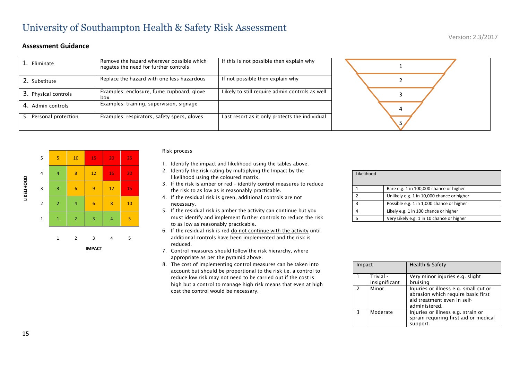#### **Assessment Guidance**

| Eliminate            | Remove the hazard wherever possible which<br>negates the need for further controls | If this is not possible then explain why       |  |  |
|----------------------|------------------------------------------------------------------------------------|------------------------------------------------|--|--|
| 2. Substitute        | Replace the hazard with one less hazardous                                         | If not possible then explain why               |  |  |
| 3. Physical controls | Examples: enclosure, fume cupboard, glove<br>box                                   | Likely to still require admin controls as well |  |  |
| 4. Admin controls    | Examples: training, supervision, signage                                           |                                                |  |  |
| Personal protection  | Examples: respirators, safety specs, gloves                                        | Last resort as it only protects the individual |  |  |



#### Risk process

- 1. Identify the impact and likelihood using the tables above.
- 2. Identify the risk rating by multiplying the Impact by the likelihood using the coloured matrix.
- 3. If the risk is amber or red identify control measures to reduce the risk to as low as is reasonably practicable.
- 4. If the residual risk is green, additional controls are not necessary.
- 5. If the residual risk is amber the activity can continue but you must identify and implement further controls to reduce the risk to as low as reasonably practicable.
- 6. If the residual risk is red do not continue with the activity until additional controls have been implemented and the risk is reduced.
- 7. Control measures should follow the risk hierarchy, where appropriate as per the pyramid above.
- 8. The cost of implementing control measures can be taken into account but should be proportional to the risk i.e. a control to reduce low risk may not need to be carried out if the cost is high but a control to manage high risk means that even at high cost the control would be necessary.

| Likelihood |                                            |  |
|------------|--------------------------------------------|--|
|            |                                            |  |
|            | Rare e.g. 1 in 100,000 chance or higher    |  |
| ຳ          | Unlikely e.g. 1 in 10,000 chance or higher |  |
| 3          | Possible e.g. 1 in 1,000 chance or higher  |  |
|            | Likely e.g. 1 in 100 chance or higher      |  |
|            | Very Likely e.g. 1 in 10 chance or higher  |  |

| Impact        |                            | Health & Safety                                                                                                             |  |
|---------------|----------------------------|-----------------------------------------------------------------------------------------------------------------------------|--|
|               | Trivial -<br>insignificant | Very minor injuries e.g. slight<br>bruising                                                                                 |  |
| $\mathcal{P}$ | Minor                      | Injuries or illness e.g. small cut or<br>abrasion which require basic first<br>aid treatment even in self-<br>administered. |  |
|               | Moderate                   | Injuries or illness e.g. strain or<br>sprain requiring first aid or medical<br>support.                                     |  |